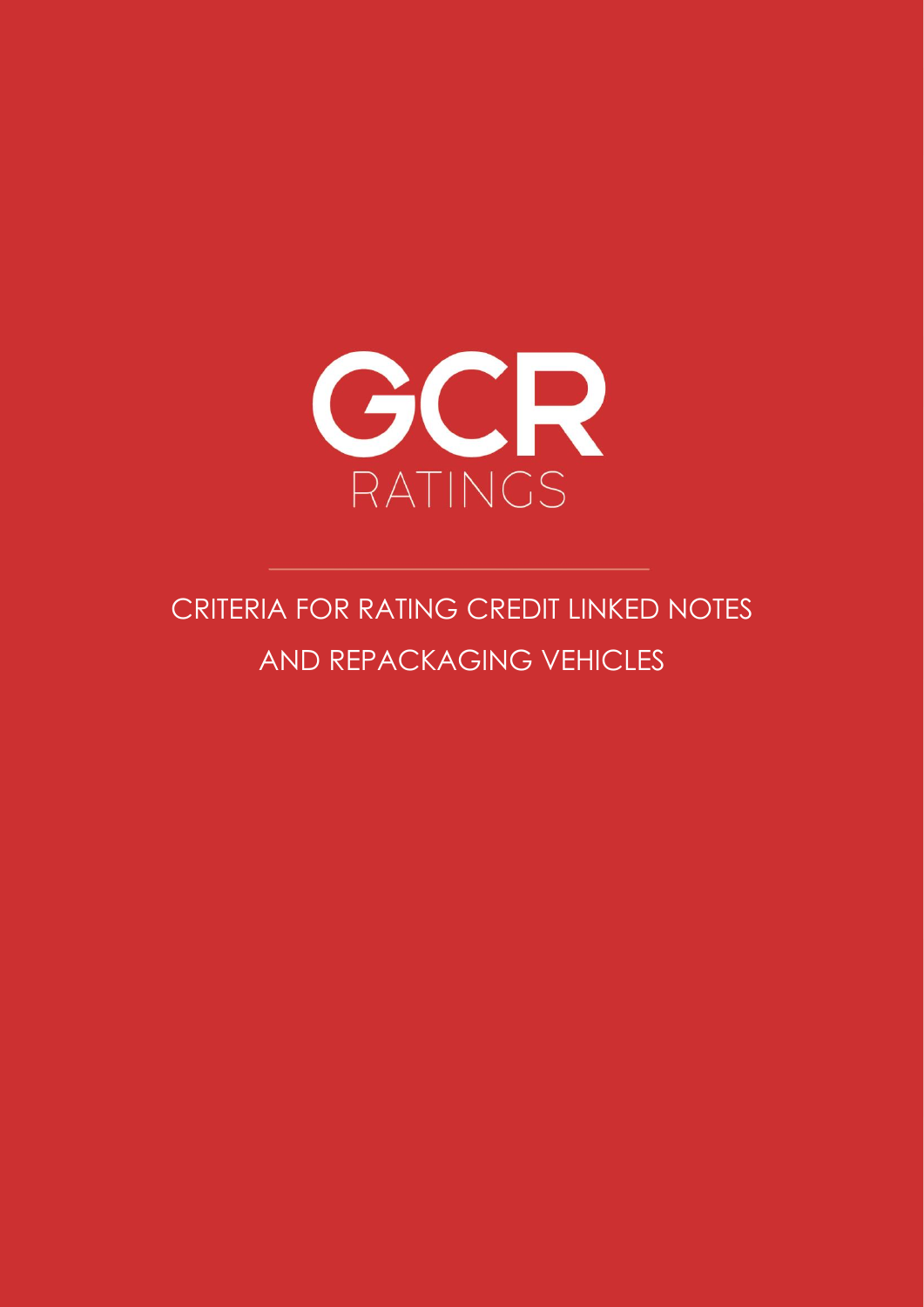

CRITERIA FOR RATING CREDIT LINKED NOTES AND REPACKAGING VEHICLES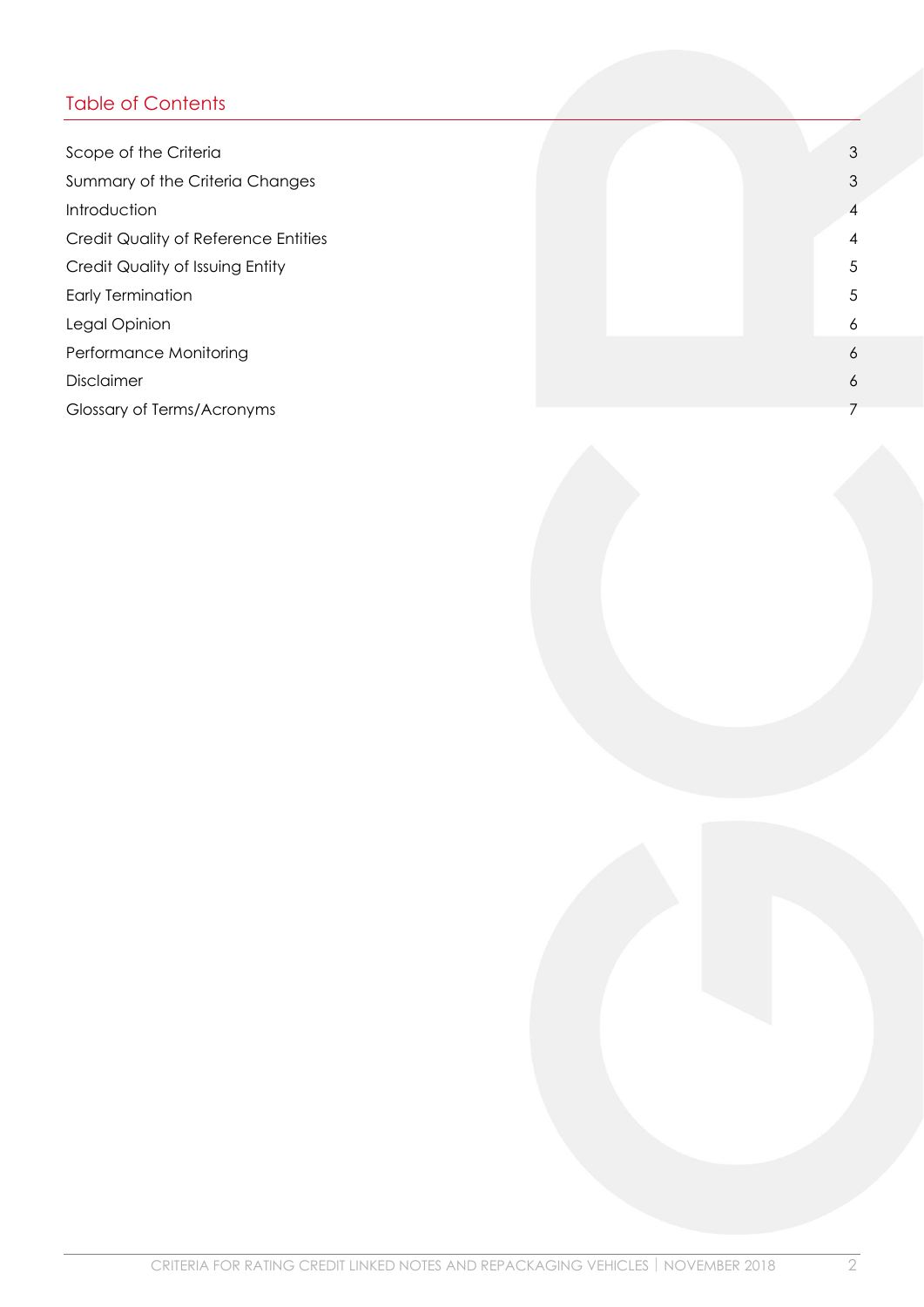# Table of Contents

| Scope of the Criteria                |  |  | 3              |
|--------------------------------------|--|--|----------------|
| Summary of the Criteria Changes      |  |  | 3              |
| Introduction                         |  |  | $\overline{4}$ |
| Credit Quality of Reference Entities |  |  | $\overline{4}$ |
| Credit Quality of Issuing Entity     |  |  | 5              |
| <b>Early Termination</b>             |  |  | 5              |
| Legal Opinion                        |  |  | 6              |
| Performance Monitoring               |  |  | 6              |
| Disclaimer                           |  |  | 6              |
| Glossary of Terms/Acronyms           |  |  | 7              |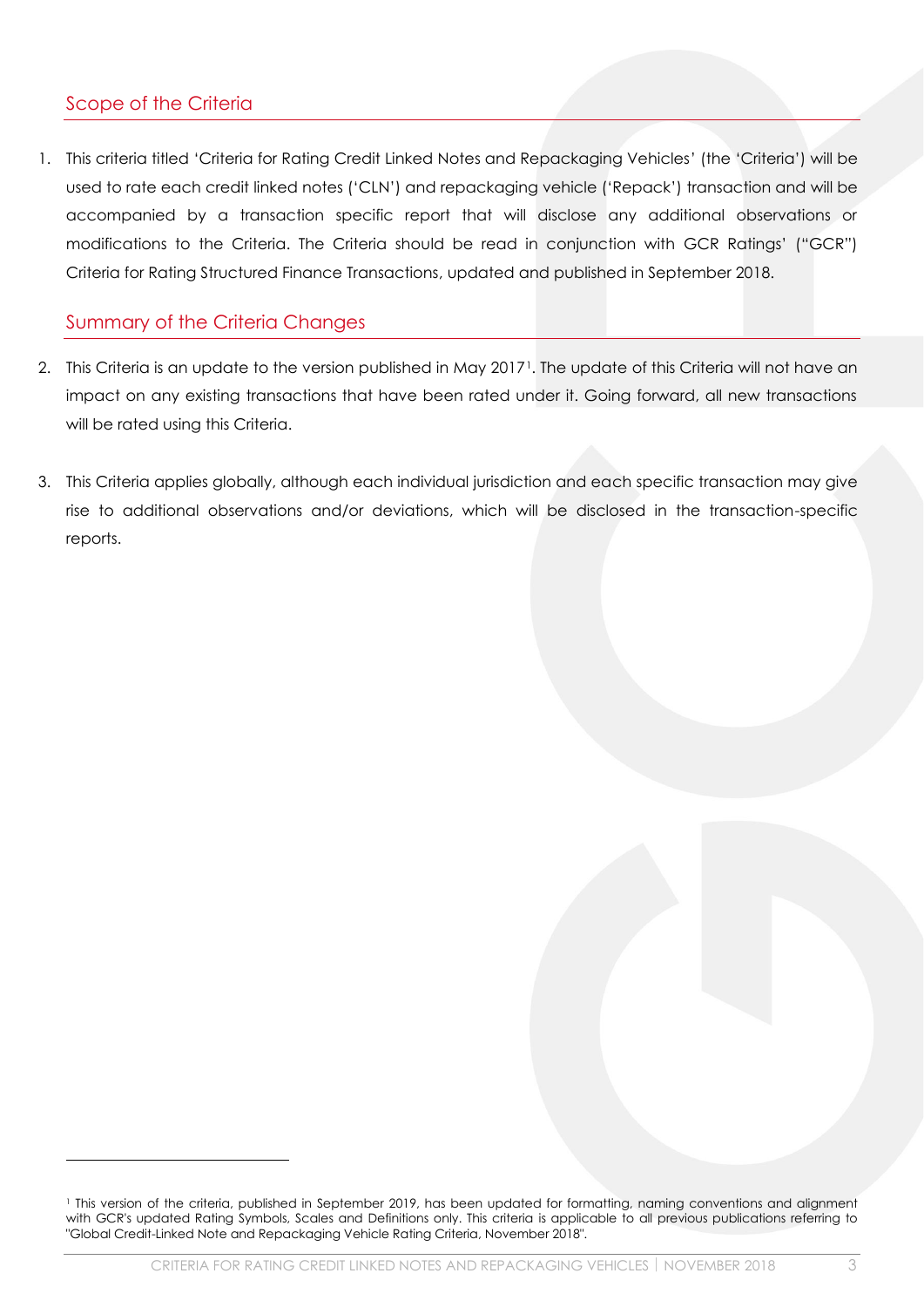# <span id="page-2-0"></span>Scope of the Criteria

1. This criteria titled 'Criteria for Rating Credit Linked Notes and Repackaging Vehicles' (the 'Criteria') will be used to rate each credit linked notes ('CLN') and repackaging vehicle ('Repack') transaction and will be accompanied by a transaction specific report that will disclose any additional observations or modifications to the Criteria. The Criteria should be read in conjunction with GCR Ratings' ("GCR") Criteria for Rating Structured Finance Transactions, updated and published in September 2018.

# <span id="page-2-1"></span>Summary of the Criteria Changes

- 2. This Criteria is an update to the version published in May 2017<sup>1</sup>. The update of this Criteria will not have an impact on any existing transactions that have been rated under it. Going forward, all new transactions will be rated using this Criteria.
- 3. This Criteria applies globally, although each individual jurisdiction and each specific transaction may give rise to additional observations and/or deviations, which will be disclosed in the transaction-specific reports.

<sup>1</sup> This version of the criteria, published in September 2019, has been updated for formatting, naming conventions and alignment with GCR's updated Rating Symbols, Scales and Definitions only. This criteria is applicable to all previous publications referring to "Global Credit-Linked Note and Repackaging Vehicle Rating Criteria, November 2018".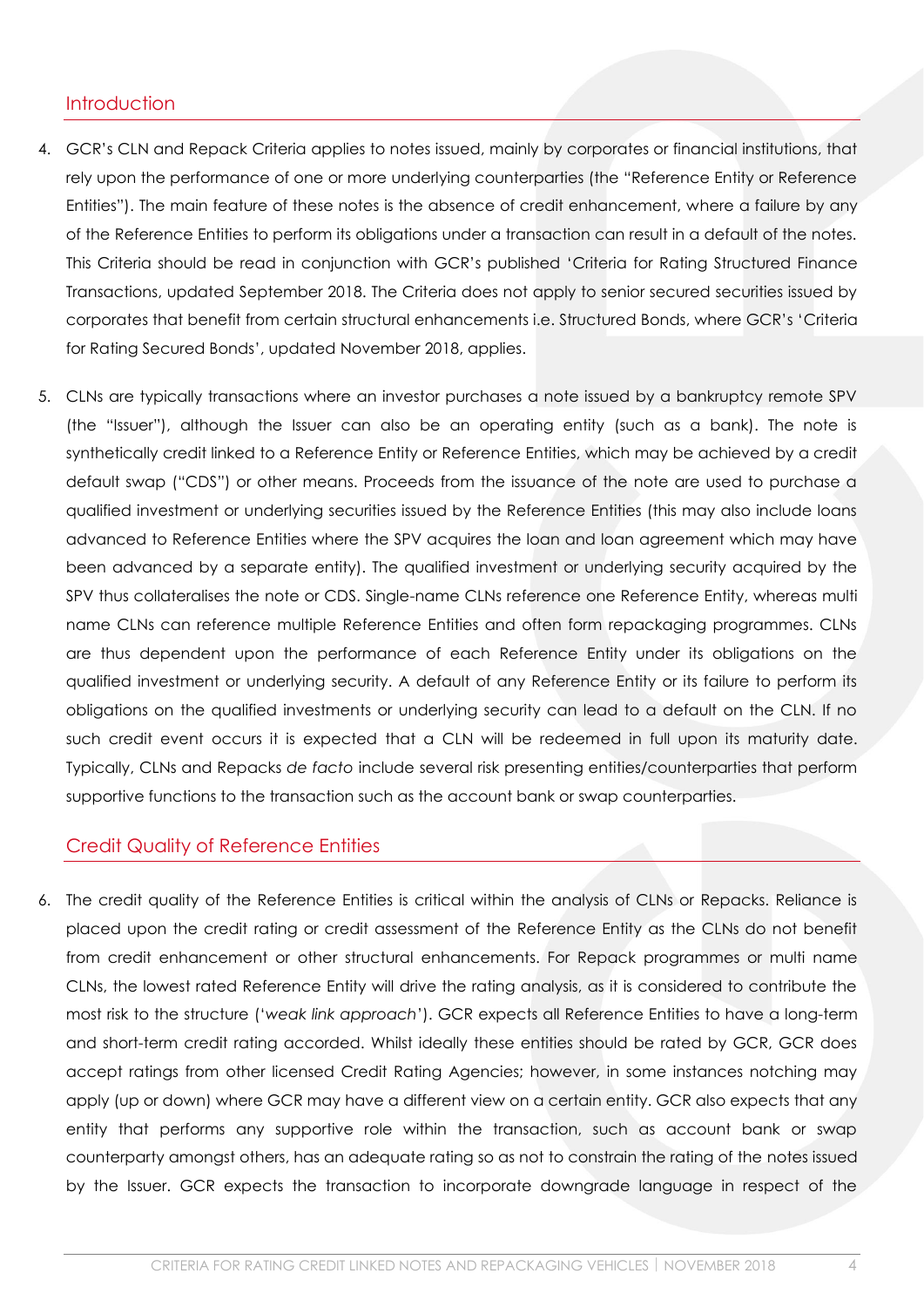#### <span id="page-3-0"></span>**Introduction**

- 4. GCR's CLN and Repack Criteria applies to notes issued, mainly by corporates or financial institutions, that rely upon the performance of one or more underlying counterparties (the "Reference Entity or Reference Entities"). The main feature of these notes is the absence of credit enhancement, where a failure by any of the Reference Entities to perform its obligations under a transaction can result in a default of the notes. This Criteria should be read in conjunction with GCR's published 'Criteria for Rating Structured Finance Transactions, updated September 2018. The Criteria does not apply to senior secured securities issued by corporates that benefit from certain structural enhancements i.e. Structured Bonds, where GCR's 'Criteria for Rating Secured Bonds', updated November 2018, applies.
- 5. CLNs are typically transactions where an investor purchases a note issued by a bankruptcy remote SPV (the "Issuer"), although the Issuer can also be an operating entity (such as a bank). The note is synthetically credit linked to a Reference Entity or Reference Entities, which may be achieved by a credit default swap ("CDS") or other means. Proceeds from the issuance of the note are used to purchase a qualified investment or underlying securities issued by the Reference Entities (this may also include loans advanced to Reference Entities where the SPV acquires the loan and loan agreement which may have been advanced by a separate entity). The qualified investment or underlying security acquired by the SPV thus collateralises the note or CDS. Single-name CLNs reference one Reference Entity, whereas multi name CLNs can reference multiple Reference Entities and often form repackaging programmes. CLNs are thus dependent upon the performance of each Reference Entity under its obligations on the qualified investment or underlying security. A default of any Reference Entity or its failure to perform its obligations on the qualified investments or underlying security can lead to a default on the CLN. If no such credit event occurs it is expected that a CLN will be redeemed in full upon its maturity date. Typically, CLNs and Repacks *de facto* include several risk presenting entities/counterparties that perform supportive functions to the transaction such as the account bank or swap counterparties.

#### <span id="page-3-1"></span>Credit Quality of Reference Entities

6. The credit quality of the Reference Entities is critical within the analysis of CLNs or Repacks. Reliance is placed upon the credit rating or credit assessment of the Reference Entity as the CLNs do not benefit from credit enhancement or other structural enhancements. For Repack programmes or multi name CLNs, the lowest rated Reference Entity will drive the rating analysis, as it is considered to contribute the most risk to the structure ('*weak link approach*'). GCR expects all Reference Entities to have a long-term and short-term credit rating accorded. Whilst ideally these entities should be rated by GCR, GCR does accept ratings from other licensed Credit Rating Agencies; however, in some instances notching may apply (up or down) where GCR may have a different view on a certain entity. GCR also expects that any entity that performs any supportive role within the transaction, such as account bank or swap counterparty amongst others, has an adequate rating so as not to constrain the rating of the notes issued by the Issuer. GCR expects the transaction to incorporate downgrade language in respect of the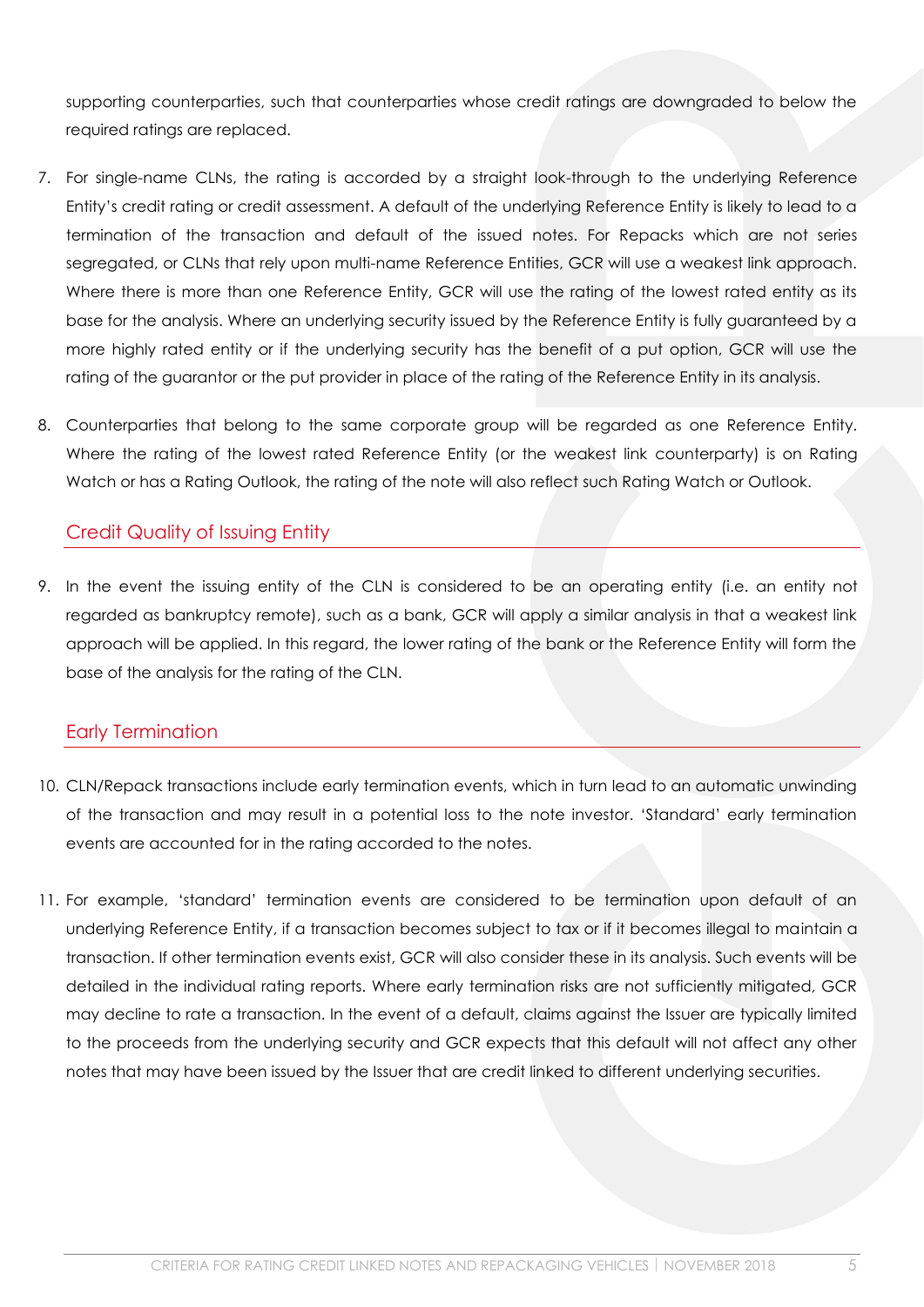supporting counterparties, such that counterparties whose credit ratings are downgraded to below the required ratings are replaced.

- 7. For single-name CLNs, the rating is accorded by a straight look-through to the underlying Reference Entity's credit rating or credit assessment. A default of the underlying Reference Entity is likely to lead to a termination of the transaction and default of the issued notes. For Repacks which are not series segregated, or CLNs that rely upon multi-name Reference Entities, GCR will use a weakest link approach. Where there is more than one Reference Entity, GCR will use the rating of the lowest rated entity as its base for the analysis. Where an underlying security issued by the Reference Entity is fully guaranteed by a more highly rated entity or if the underlying security has the benefit of a put option, GCR will use the rating of the guarantor or the put provider in place of the rating of the Reference Entity in its analysis.
- 8. Counterparties that belong to the same corporate group will be regarded as one Reference Entity. Where the rating of the lowest rated Reference Entity (or the weakest link counterparty) is on Rating Watch or has a Rating Outlook, the rating of the note will also reflect such Rating Watch or Outlook.

### <span id="page-4-0"></span>Credit Quality of Issuing Entity

9. In the event the issuing entity of the CLN is considered to be an operating entity (i.e. an entity not regarded as bankruptcy remote), such as a bank, GCR will apply a similar analysis in that a weakest link approach will be applied. In this regard, the lower rating of the bank or the Reference Entity will form the base of the analysis for the rating of the CLN.

#### <span id="page-4-1"></span>Early Termination

- 10. CLN/Repack transactions include early termination events, which in turn lead to an automatic unwinding of the transaction and may result in a potential loss to the note investor. 'Standard' early termination events are accounted for in the rating accorded to the notes.
- 11. For example, 'standard' termination events are considered to be termination upon default of an underlying Reference Entity, if a transaction becomes subject to tax or if it becomes illegal to maintain a transaction. If other termination events exist, GCR will also consider these in its analysis. Such events will be detailed in the individual rating reports. Where early termination risks are not sufficiently mitigated, GCR may decline to rate a transaction. In the event of a default, claims against the Issuer are typically limited to the proceeds from the underlying security and GCR expects that this default will not affect any other notes that may have been issued by the Issuer that are credit linked to different underlying securities.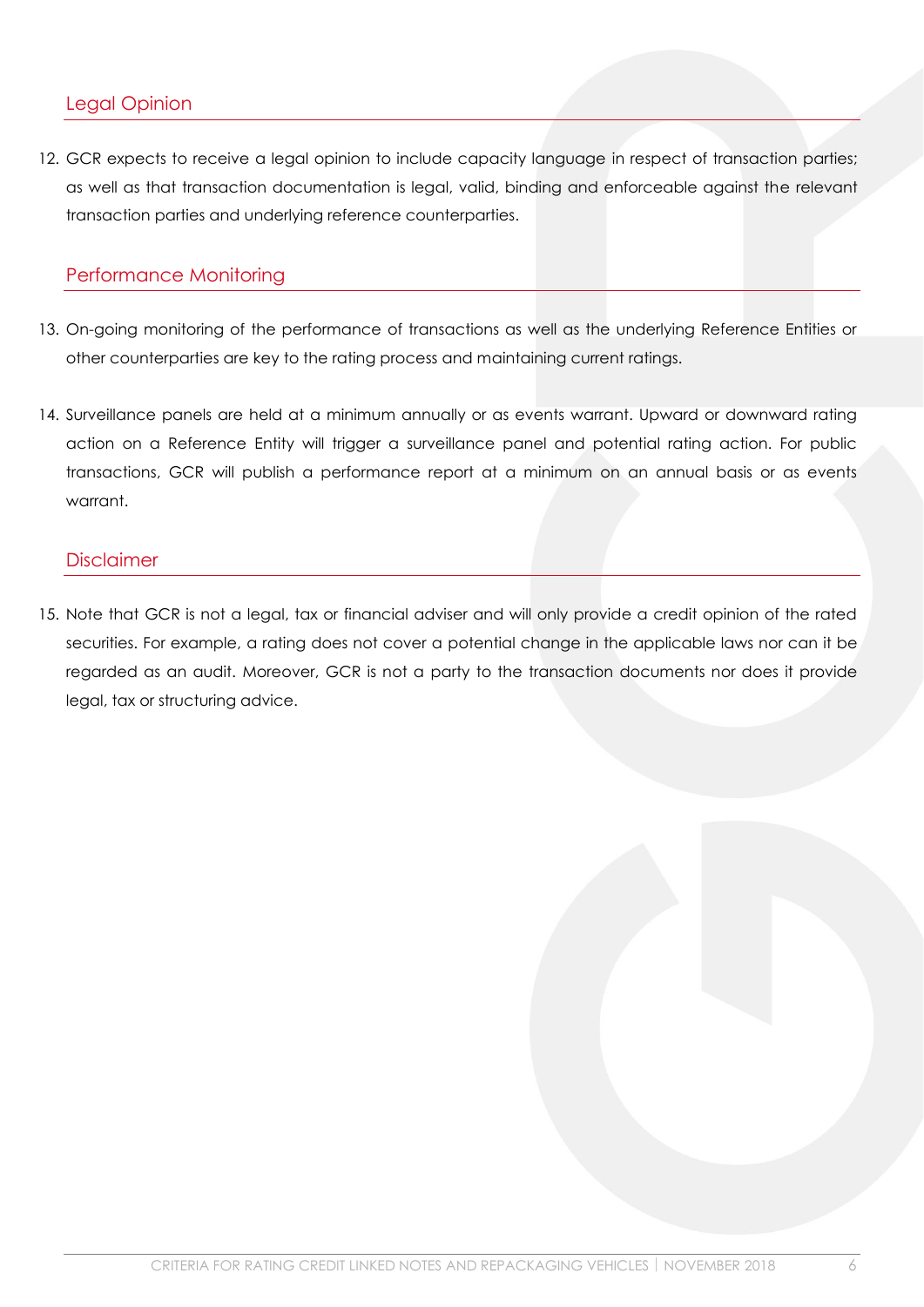#### <span id="page-5-0"></span>Legal Opinion

12. GCR expects to receive a legal opinion to include capacity language in respect of transaction parties; as well as that transaction documentation is legal, valid, binding and enforceable against the relevant transaction parties and underlying reference counterparties.

## <span id="page-5-1"></span>Performance Monitoring

- 13. On-going monitoring of the performance of transactions as well as the underlying Reference Entities or other counterparties are key to the rating process and maintaining current ratings.
- 14. Surveillance panels are held at a minimum annually or as events warrant. Upward or downward rating action on a Reference Entity will trigger a surveillance panel and potential rating action. For public transactions, GCR will publish a performance report at a minimum on an annual basis or as events warrant.

#### <span id="page-5-2"></span>Disclaimer

15. Note that GCR is not a legal, tax or financial adviser and will only provide a credit opinion of the rated securities. For example, a rating does not cover a potential change in the applicable laws nor can it be regarded as an audit. Moreover, GCR is not a party to the transaction documents nor does it provide legal, tax or structuring advice.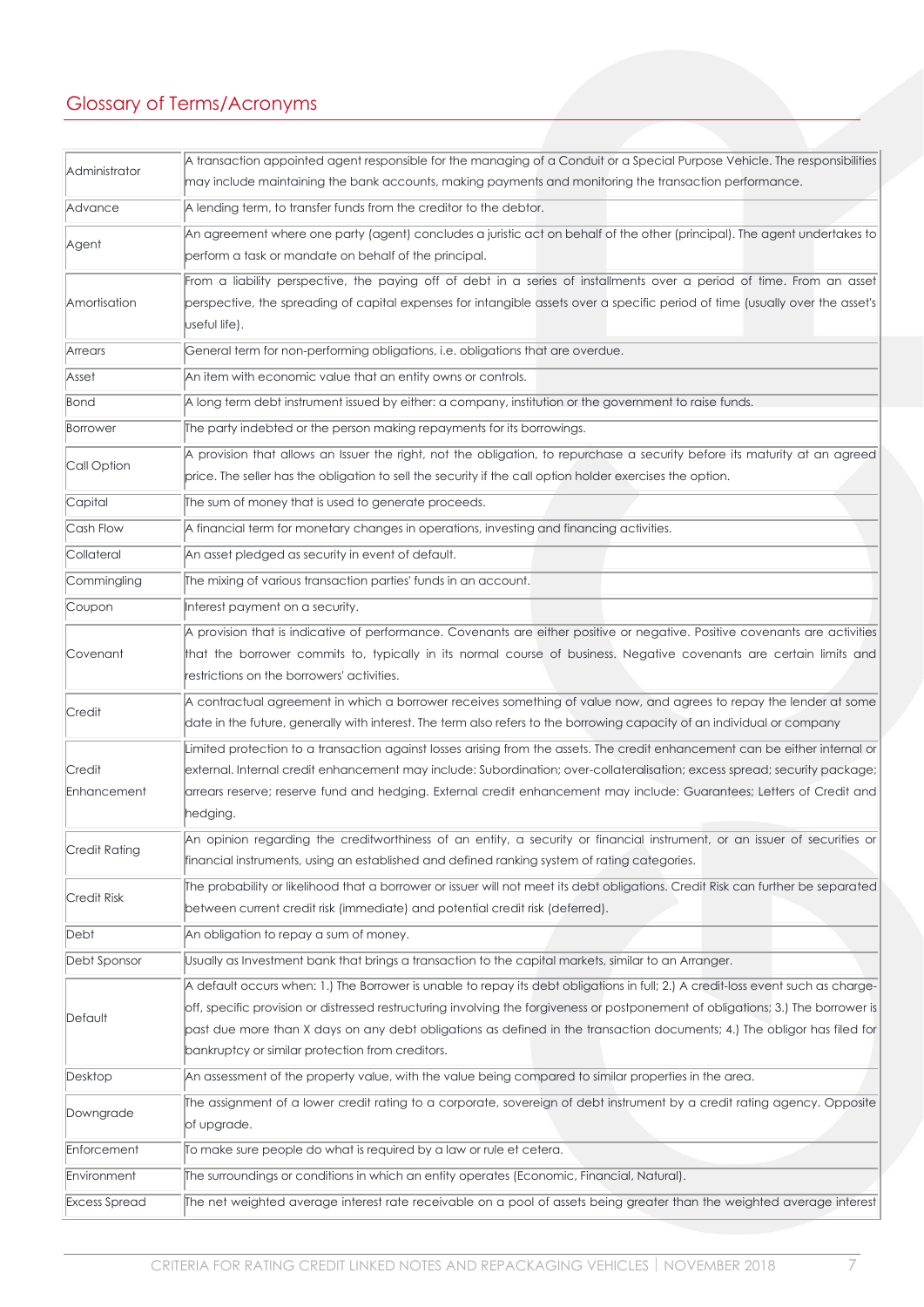# <span id="page-6-0"></span>Glossary of Terms/Acronyms

| Administrator         | A transaction appointed agent responsible for the managing of a Conduit or a Special Purpose Vehicle. The responsibilities                                                                                                                                                                                                                                                                                                                            |
|-----------------------|-------------------------------------------------------------------------------------------------------------------------------------------------------------------------------------------------------------------------------------------------------------------------------------------------------------------------------------------------------------------------------------------------------------------------------------------------------|
|                       | may include maintaining the bank accounts, making payments and monitoring the transaction performance.                                                                                                                                                                                                                                                                                                                                                |
| Advance               | A lending term, to transfer funds from the creditor to the debtor.                                                                                                                                                                                                                                                                                                                                                                                    |
| Agent                 | An agreement where one party (agent) concludes a juristic act on behalf of the other (principal). The agent undertakes to<br>perform a task or mandate on behalf of the principal.                                                                                                                                                                                                                                                                    |
| Amortisation          | From a liability perspective, the paying off of debt in a series of installments over a period of time. From an asset<br>perspective, the spreading of capital expenses for intangible assets over a specific period of time (usually over the asset's<br>useful life).                                                                                                                                                                               |
| Arrears               | General term for non-performing obligations, i.e. obligations that are overdue.                                                                                                                                                                                                                                                                                                                                                                       |
| Asset                 | An item with economic value that an entity owns or controls.                                                                                                                                                                                                                                                                                                                                                                                          |
| Bond                  | A long term debt instrument issued by either: a company, institution or the government to raise funds.                                                                                                                                                                                                                                                                                                                                                |
| Borrower              | The party indebted or the person making repayments for its borrowings.                                                                                                                                                                                                                                                                                                                                                                                |
| Call Option           | A provision that allows an Issuer the right, not the obligation, to repurchase a security before its maturity at an agreed<br>price. The seller has the obligation to sell the security if the call option holder exercises the option.                                                                                                                                                                                                               |
| Capital               | The sum of money that is used to generate proceeds.                                                                                                                                                                                                                                                                                                                                                                                                   |
| Cash Flow             | A financial term for monetary changes in operations, investing and financing activities.                                                                                                                                                                                                                                                                                                                                                              |
| Collateral            | An asset pledged as security in event of default.                                                                                                                                                                                                                                                                                                                                                                                                     |
| Commingling           | The mixing of various transaction parties' funds in an account.                                                                                                                                                                                                                                                                                                                                                                                       |
| Coupon                | Interest payment on a security.                                                                                                                                                                                                                                                                                                                                                                                                                       |
| Covenant              | A provision that is indicative of performance. Covenants are either positive or negative. Positive covenants are activities<br>that the borrower commits to, typically in its normal course of business. Negative covenants are certain limits and<br>restrictions on the borrowers' activities.                                                                                                                                                      |
| Credit                | A contractual agreement in which a borrower receives something of value now, and agrees to repay the lender at some<br>date in the future, generally with interest. The term also refers to the borrowing capacity of an individual or company                                                                                                                                                                                                        |
| Credit<br>Enhancement | Limited protection to a transaction against losses arising from the assets. The credit enhancement can be either internal or<br>external. Internal credit enhancement may include: Subordination; over-collateralisation; excess spread; security package;<br>arrears reserve; reserve fund and hedging. External credit enhancement may include: Guarantees; Letters of Credit and<br>hedging.                                                       |
| Credit Rating         | An opinion regarding the creditworthiness of an entity, a security or financial instrument, or an issuer of securities or<br>financial instruments, using an established and defined ranking system of rating categories.                                                                                                                                                                                                                             |
| <b>Credit Risk</b>    | The probability or likelihood that a borrower or issuer will not meet its debt obligations. Credit Risk can further be separated<br>between current credit risk (immediate) and potential credit risk (deferred).                                                                                                                                                                                                                                     |
| Debt                  | An obligation to repay a sum of money.                                                                                                                                                                                                                                                                                                                                                                                                                |
| Debt Sponsor          | Usually as Investment bank that brings a transaction to the capital markets, similar to an Arranger.                                                                                                                                                                                                                                                                                                                                                  |
| Default               | A default occurs when: 1.) The Borrower is unable to repay its debt obligations in full; 2.) A credit-loss event such as charge-<br>off, specific provision or distressed restructuring involving the forgiveness or postponement of obligations; 3.) The borrower is<br>past due more than X days on any debt obligations as defined in the transaction documents; 4.) The obligor has filed for<br>bankruptcy or similar protection from creditors. |
| Desktop               | An assessment of the property value, with the value being compared to similar properties in the area.                                                                                                                                                                                                                                                                                                                                                 |
| Downgrade             | The assignment of a lower credit rating to a corporate, sovereign of debt instrument by a credit rating agency. Opposite<br>of upgrade.                                                                                                                                                                                                                                                                                                               |
| Enforcement           | To make sure people do what is required by a law or rule et cetera.                                                                                                                                                                                                                                                                                                                                                                                   |
| Environment           | The surroundings or conditions in which an entity operates (Economic, Financial, Natural).                                                                                                                                                                                                                                                                                                                                                            |
| <b>Excess Spread</b>  | The net weighted average interest rate receivable on a pool of assets being greater than the weighted average interest                                                                                                                                                                                                                                                                                                                                |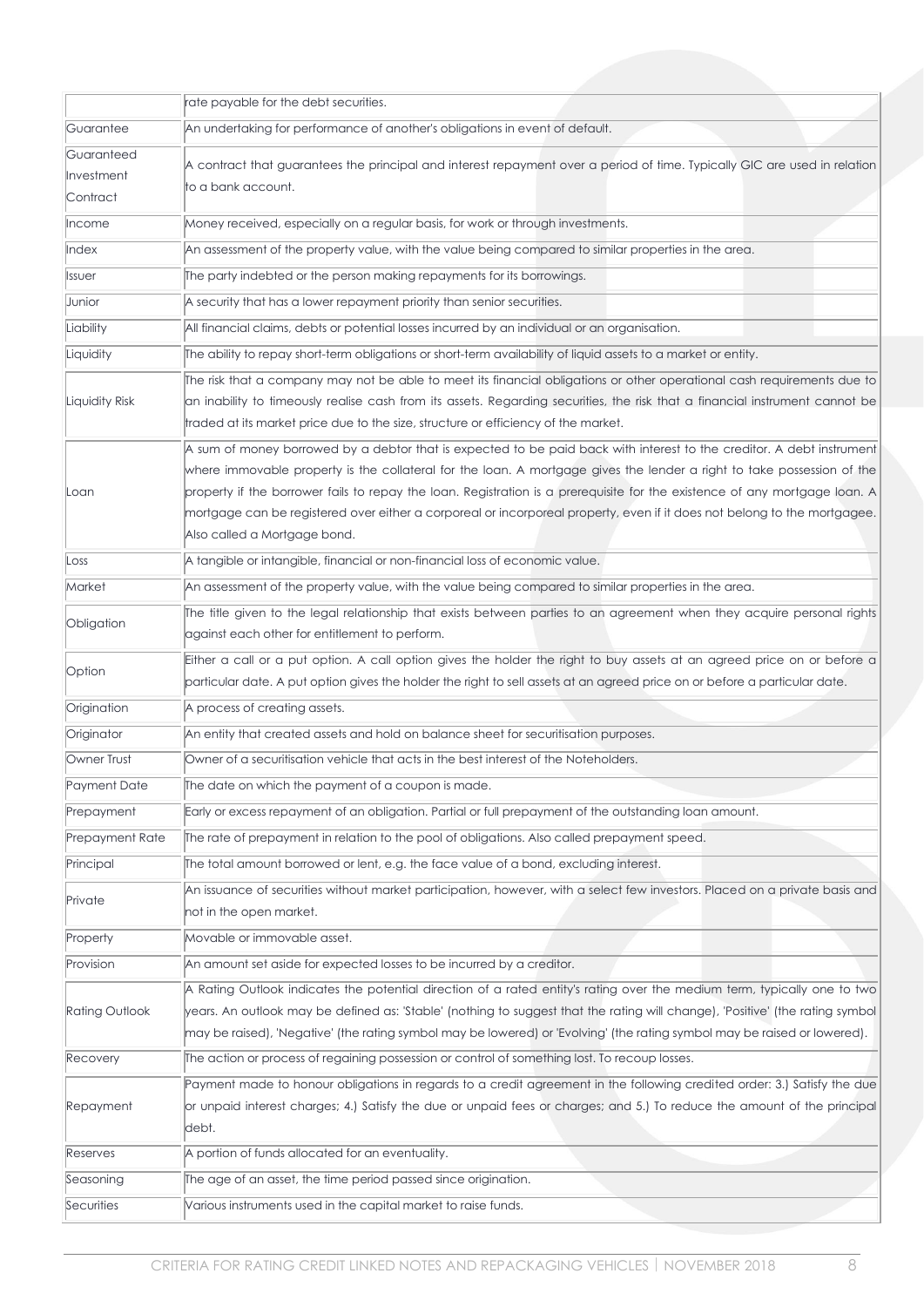|                                      | rate payable for the debt securities.                                                                                                                                                                                                                                                                                                                                                                                                                                                                                                     |
|--------------------------------------|-------------------------------------------------------------------------------------------------------------------------------------------------------------------------------------------------------------------------------------------------------------------------------------------------------------------------------------------------------------------------------------------------------------------------------------------------------------------------------------------------------------------------------------------|
| Guarantee                            | An undertaking for performance of another's obligations in event of default.                                                                                                                                                                                                                                                                                                                                                                                                                                                              |
| Guaranteed<br>Investment<br>Contract | A contract that guarantees the principal and interest repayment over a period of time. Typically GIC are used in relation<br>to a bank account.                                                                                                                                                                                                                                                                                                                                                                                           |
| Income                               | Money received, especially on a regular basis, for work or through investments.                                                                                                                                                                                                                                                                                                                                                                                                                                                           |
| Index                                | An assessment of the property value, with the value being compared to similar properties in the area.                                                                                                                                                                                                                                                                                                                                                                                                                                     |
| Issuer                               | The party indebted or the person making repayments for its borrowings.                                                                                                                                                                                                                                                                                                                                                                                                                                                                    |
| Junior                               | A security that has a lower repayment priority than senior securities.                                                                                                                                                                                                                                                                                                                                                                                                                                                                    |
| Liability                            | All financial claims, debts or potential losses incurred by an individual or an organisation.                                                                                                                                                                                                                                                                                                                                                                                                                                             |
| Liquidity                            | The ability to repay short-term obligations or short-term availability of liquid assets to a market or entity.                                                                                                                                                                                                                                                                                                                                                                                                                            |
| Liquidity Risk                       | The risk that a company may not be able to meet its financial obligations or other operational cash requirements due to<br>an inability to timeously realise cash from its assets. Regarding securities, the risk that a financial instrument cannot be<br>traded at its market price due to the size, structure or efficiency of the market.                                                                                                                                                                                             |
| Loan                                 | A sum of money borrowed by a debtor that is expected to be paid back with interest to the creditor. A debt instrument<br>where immovable property is the collateral for the loan. A mortgage gives the lender a right to take possession of the<br>property if the borrower fails to repay the loan. Registration is a prerequisite for the existence of any mortgage loan. A<br>mortgage can be registered over either a corporeal or incorporeal property, even if it does not belong to the mortgagee.<br>Also called a Mortgage bond. |
| Loss                                 | A tangible or intangible, financial or non-financial loss of economic value.                                                                                                                                                                                                                                                                                                                                                                                                                                                              |
| Market                               | An assessment of the property value, with the value being compared to similar properties in the area.                                                                                                                                                                                                                                                                                                                                                                                                                                     |
| Obligation                           | The title given to the legal relationship that exists between parties to an agreement when they acquire personal rights<br>against each other for entitlement to perform.                                                                                                                                                                                                                                                                                                                                                                 |
| Option                               | Either a call or a put option. A call option gives the holder the right to buy assets at an agreed price on or before a<br>particular date. A put option gives the holder the right to sell assets at an agreed price on or before a particular date.                                                                                                                                                                                                                                                                                     |
| Origination                          | A process of creating assets.                                                                                                                                                                                                                                                                                                                                                                                                                                                                                                             |
| Originator                           | An entity that created assets and hold on balance sheet for securitisation purposes.                                                                                                                                                                                                                                                                                                                                                                                                                                                      |
| Owner Trust                          | Owner of a securitisation vehicle that acts in the best interest of the Noteholders.                                                                                                                                                                                                                                                                                                                                                                                                                                                      |
| Payment Date                         | The date on which the payment of a coupon is made.                                                                                                                                                                                                                                                                                                                                                                                                                                                                                        |
| Prepayment                           | Early or excess repayment of an obligation. Partial or full prepayment of the outstanding loan amount.                                                                                                                                                                                                                                                                                                                                                                                                                                    |
| Prepayment Rate                      | The rate of prepayment in relation to the pool of obligations. Also called prepayment speed,                                                                                                                                                                                                                                                                                                                                                                                                                                              |
| Principal                            | The total amount borrowed or lent, e.g. the face value of a bond, excluding interest.                                                                                                                                                                                                                                                                                                                                                                                                                                                     |
| Private                              | An issuance of securities without market participation, however, with a select few investors. Placed on a private basis and<br>not in the open market.                                                                                                                                                                                                                                                                                                                                                                                    |
| Property                             | Movable or immovable asset.                                                                                                                                                                                                                                                                                                                                                                                                                                                                                                               |
| Provision                            | An amount set aside for expected losses to be incurred by a creditor.                                                                                                                                                                                                                                                                                                                                                                                                                                                                     |
| <b>Rating Outlook</b>                | A Rating Outlook indicates the potential direction of a rated entity's rating over the medium term, typically one to two<br>years. An outlook may be defined as: 'Stable' (nothing to suggest that the rating will change), 'Positive' (the rating symbol<br>may be raised), 'Negative' (the rating symbol may be lowered) or 'Evolving' (the rating symbol may be raised or lowered).                                                                                                                                                    |
| Recovery                             | The action or process of regaining possession or control of something lost. To recoup losses.                                                                                                                                                                                                                                                                                                                                                                                                                                             |
| Repayment                            | Payment made to honour obligations in regards to a credit agreement in the following credited order: 3.) Satisfy the due<br>or unpaid interest charges; 4.) Satisfy the due or unpaid fees or charges; and 5.) To reduce the amount of the principal<br>debt.                                                                                                                                                                                                                                                                             |
| Reserves                             | A portion of funds allocated for an eventuality.                                                                                                                                                                                                                                                                                                                                                                                                                                                                                          |
| Seasoning                            | The age of an asset, the time period passed since origination.                                                                                                                                                                                                                                                                                                                                                                                                                                                                            |
| Securities                           | Various instruments used in the capital market to raise funds.                                                                                                                                                                                                                                                                                                                                                                                                                                                                            |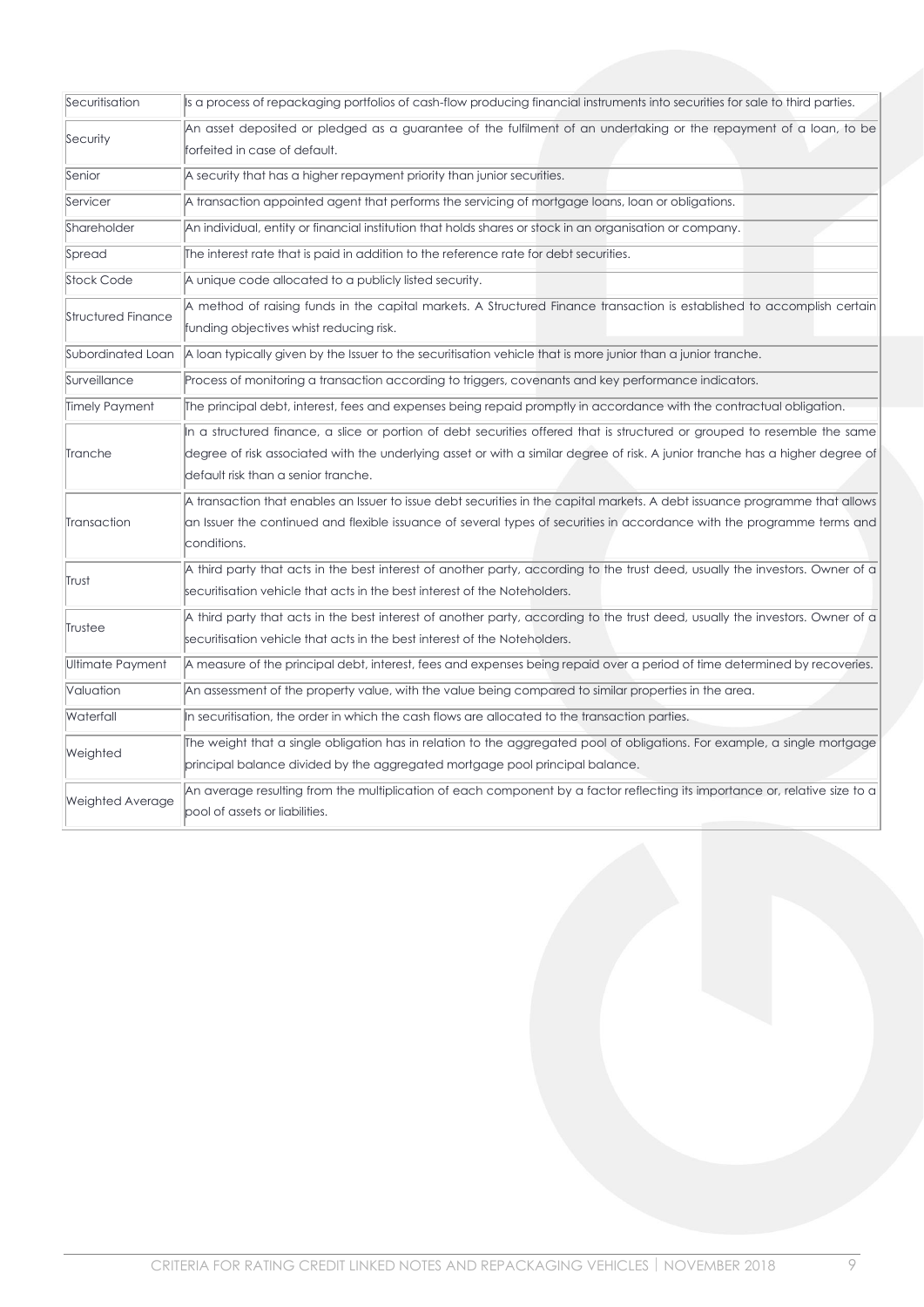| Securitisation          | Is a process of repackaging portfolios of cash-flow producing financial instruments into securities for sale to third parties. |
|-------------------------|--------------------------------------------------------------------------------------------------------------------------------|
| Security                | An asset deposited or pledged as a guarantee of the fulfilment of an undertaking or the repayment of a loan, to be             |
|                         | forfeited in case of default.                                                                                                  |
| Senior                  | A security that has a higher repayment priority than junior securities.                                                        |
| Servicer                | A transaction appointed agent that performs the servicing of mortgage loans, loan or obligations.                              |
| Shareholder             | An individual, entity or financial institution that holds shares or stock in an organisation or company.                       |
| Spread                  | The interest rate that is paid in addition to the reference rate for debt securities.                                          |
| Stock Code              | A unique code allocated to a publicly listed security.                                                                         |
| Structured Finance      | A method of raising funds in the capital markets. A Structured Finance transaction is established to accomplish certain        |
|                         | funding objectives whist reducing risk.                                                                                        |
| Subordinated Loan       | A loan typically given by the Issuer to the securitisation vehicle that is more junior than a junior tranche.                  |
| Surveillance            | Process of monitoring a transaction according to triggers, covenants and key performance indicators.                           |
| Timely Payment          | The principal debt, interest, fees and expenses being repaid promptly in accordance with the contractual obligation.           |
|                         | In a structured finance, a slice or portion of debt securities offered that is structured or grouped to resemble the same      |
| Tranche                 | degree of risk associated with the underlying asset or with a similar degree of risk. A junior tranche has a higher degree of  |
|                         | default risk than a senior tranche.                                                                                            |
|                         | A transaction that enables an Issuer to issue debt securities in the capital markets. A debt issuance programme that allows    |
| Transaction             | an Issuer the continued and flexible issuance of several types of securities in accordance with the programme terms and        |
|                         | conditions.                                                                                                                    |
| Trust                   | A third party that acts in the best interest of another party, according to the trust deed, usually the investors. Owner of a  |
|                         | securitisation vehicle that acts in the best interest of the Noteholders.                                                      |
| Trustee                 | A third party that acts in the best interest of another party, according to the trust deed, usually the investors. Owner of a  |
|                         | securitisation vehicle that acts in the best interest of the Noteholders.                                                      |
| Ultimate Payment        | A measure of the principal debt, interest, fees and expenses being repaid over a period of time determined by recoveries.      |
| Valuation               | An assessment of the property value, with the value being compared to similar properties in the area.                          |
| Waterfall               | In securitisation, the order in which the cash flows are allocated to the transaction parties.                                 |
| Weighted                | The weight that a single obligation has in relation to the aggregated pool of obligations. For example, a single mortgage      |
|                         | principal balance divided by the aggregated mortgage pool principal balance.                                                   |
| <b>Weighted Average</b> | An average resulting from the multiplication of each component by a factor reflecting its importance or, relative size to a    |
|                         | pool of assets or liabilities.                                                                                                 |